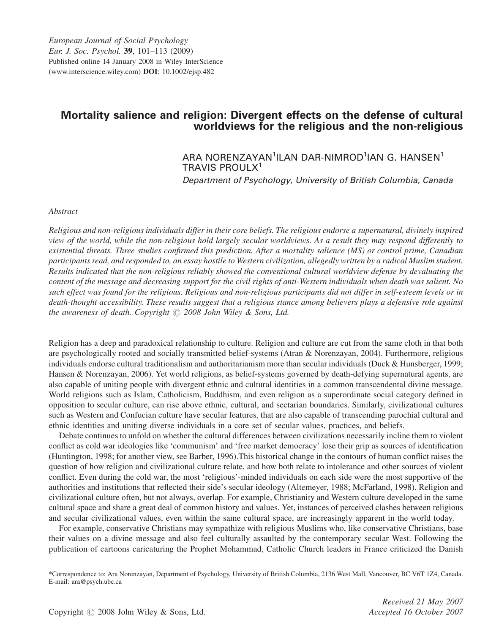European Journal of Social Psychology Eur. J. Soc. Psychol. 39, 101–113 (2009) Published online 14 January 2008 in Wiley InterScience (www.interscience.wiley.com) DOI: 10.1002/ejsp.482

# Mortality salience and religion: Divergent effects on the defense of cultural worldviews for the religious and the non-religious

# ARA NORENZAYAN $^1$ ILAN DAR-NIMROD $^1$ IAN G. HANSEN $^1$ TRAVIS PROULX1

Department of Psychology, University of British Columbia, Canada

#### Abstract

Religious and non-religious individuals differ in their core beliefs. The religious endorse a supernatural, divinely inspired view of the world, while the non-religious hold largely secular worldviews. As a result they may respond differently to existential threats. Three studies confirmed this prediction. After a mortality salience (MS) or control prime, Canadian participants read, and responded to, an essay hostile to Western civilization, allegedly written by a radical Muslim student. Results indicated that the non-religious reliably showed the conventional cultural worldview defense by devaluating the content of the message and decreasing support for the civil rights of anti-Western individuals when death was salient. No such effect was found for the religious. Religious and non-religious participants did not differ in self-esteem levels or in death-thought accessibility. These results suggest that a religious stance among believers plays a defensive role against the awareness of death. Copyright  $\odot$  2008 John Wiley & Sons, Ltd.

Religion has a deep and paradoxical relationship to culture. Religion and culture are cut from the same cloth in that both are psychologically rooted and socially transmitted belief-systems (Atran & Norenzayan, 2004). Furthermore, religious individuals endorse cultural traditionalism and authoritarianism more than secular individuals (Duck & Hunsberger, 1999; Hansen & Norenzayan, 2006). Yet world religions, as belief-systems governed by death-defying supernatural agents, are also capable of uniting people with divergent ethnic and cultural identities in a common transcendental divine message. World religions such as Islam, Catholicism, Buddhism, and even religion as a superordinate social category defined in opposition to secular culture, can rise above ethnic, cultural, and sectarian boundaries. Similarly, civilizational cultures such as Western and Confucian culture have secular features, that are also capable of transcending parochial cultural and ethnic identities and uniting diverse individuals in a core set of secular values, practices, and beliefs.

Debate continues to unfold on whether the cultural differences between civilizations necessarily incline them to violent conflict as cold war ideologies like 'communism' and 'free market democracy' lose their grip as sources of identification (Huntington, 1998; for another view, see Barber, 1996).This historical change in the contours of human conflict raises the question of how religion and civilizational culture relate, and how both relate to intolerance and other sources of violent conflict. Even during the cold war, the most 'religious'-minded individuals on each side were the most supportive of the authorities and institutions that reflected their side's secular ideology (Altemeyer, 1988; McFarland, 1998). Religion and civilizational culture often, but not always, overlap. For example, Christianity and Western culture developed in the same cultural space and share a great deal of common history and values. Yet, instances of perceived clashes between religious and secular civilizational values, even within the same cultural space, are increasingly apparent in the world today.

For example, conservative Christians may sympathize with religious Muslims who, like conservative Christians, base their values on a divine message and also feel culturally assaulted by the contemporary secular West. Following the publication of cartoons caricaturing the Prophet Mohammad, Catholic Church leaders in France criticized the Danish

\*Correspondence to: Ara Norenzayan, Department of Psychology, University of British Columbia, 2136 West Mall, Vancouver, BC V6T 1Z4, Canada. E-mail: ara@psych.ubc.ca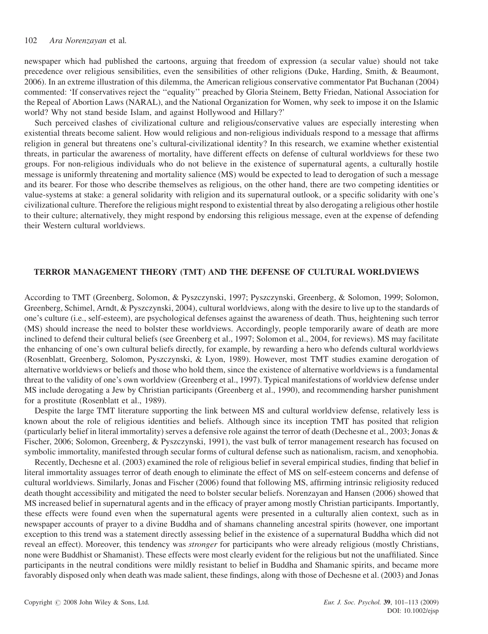newspaper which had published the cartoons, arguing that freedom of expression (a secular value) should not take precedence over religious sensibilities, even the sensibilities of other religions (Duke, Harding, Smith, & Beaumont, 2006). In an extreme illustration of this dilemma, the American religious conservative commentator Pat Buchanan (2004) commented: 'If conservatives reject the ''equality'' preached by Gloria Steinem, Betty Friedan, National Association for the Repeal of Abortion Laws (NARAL), and the National Organization for Women, why seek to impose it on the Islamic world? Why not stand beside Islam, and against Hollywood and Hillary?'

Such perceived clashes of civilizational culture and religious/conservative values are especially interesting when existential threats become salient. How would religious and non-religious individuals respond to a message that affirms religion in general but threatens one's cultural-civilizational identity? In this research, we examine whether existential threats, in particular the awareness of mortality, have different effects on defense of cultural worldviews for these two groups. For non-religious individuals who do not believe in the existence of supernatural agents, a culturally hostile message is uniformly threatening and mortality salience (MS) would be expected to lead to derogation of such a message and its bearer. For those who describe themselves as religious, on the other hand, there are two competing identities or value-systems at stake: a general solidarity with religion and its supernatural outlook, or a specific solidarity with one's civilizational culture. Therefore the religious might respond to existential threat by also derogating a religious other hostile to their culture; alternatively, they might respond by endorsing this religious message, even at the expense of defending their Western cultural worldviews.

# TERROR MANAGEMENT THEORY (TMT) AND THE DEFENSE OF CULTURAL WORLDVIEWS

According to TMT (Greenberg, Solomon, & Pyszczynski, 1997; Pyszczynski, Greenberg, & Solomon, 1999; Solomon, Greenberg, Schimel, Arndt, & Pyszczynski, 2004), cultural worldviews, along with the desire to live up to the standards of one's culture (i.e., self-esteem), are psychological defenses against the awareness of death. Thus, heightening such terror (MS) should increase the need to bolster these worldviews. Accordingly, people temporarily aware of death are more inclined to defend their cultural beliefs (see Greenberg et al., 1997; Solomon et al., 2004, for reviews). MS may facilitate the enhancing of one's own cultural beliefs directly, for example, by rewarding a hero who defends cultural worldviews (Rosenblatt, Greenberg, Solomon, Pyszczynski, & Lyon, 1989). However, most TMT studies examine derogation of alternative worldviews or beliefs and those who hold them, since the existence of alternative worldviews is a fundamental threat to the validity of one's own worldview (Greenberg et al., 1997). Typical manifestations of worldview defense under MS include derogating a Jew by Christian participants (Greenberg et al., 1990), and recommending harsher punishment for a prostitute (Rosenblatt et al., 1989).

Despite the large TMT literature supporting the link between MS and cultural worldview defense, relatively less is known about the role of religious identities and beliefs. Although since its inception TMT has posited that religion (particularly belief in literal immortality) serves a defensive role against the terror of death (Dechesne et al., 2003; Jonas & Fischer, 2006; Solomon, Greenberg, & Pyszczynski, 1991), the vast bulk of terror management research has focused on symbolic immortality, manifested through secular forms of cultural defense such as nationalism, racism, and xenophobia.

Recently, Dechesne et al. (2003) examined the role of religious belief in several empirical studies, finding that belief in literal immortality assuages terror of death enough to eliminate the effect of MS on self-esteem concerns and defense of cultural worldviews. Similarly, Jonas and Fischer (2006) found that following MS, affirming intrinsic religiosity reduced death thought accessibility and mitigated the need to bolster secular beliefs. Norenzayan and Hansen (2006) showed that MS increased belief in supernatural agents and in the efficacy of prayer among mostly Christian participants. Importantly, these effects were found even when the supernatural agents were presented in a culturally alien context, such as in newspaper accounts of prayer to a divine Buddha and of shamans channeling ancestral spirits (however, one important exception to this trend was a statement directly assessing belief in the existence of a supernatural Buddha which did not reveal an effect). Moreover, this tendency was *stronger* for participants who were already religious (mostly Christians, none were Buddhist or Shamanist). These effects were most clearly evident for the religious but not the unaffiliated. Since participants in the neutral conditions were mildly resistant to belief in Buddha and Shamanic spirits, and became more favorably disposed only when death was made salient, these findings, along with those of Dechesne et al. (2003) and Jonas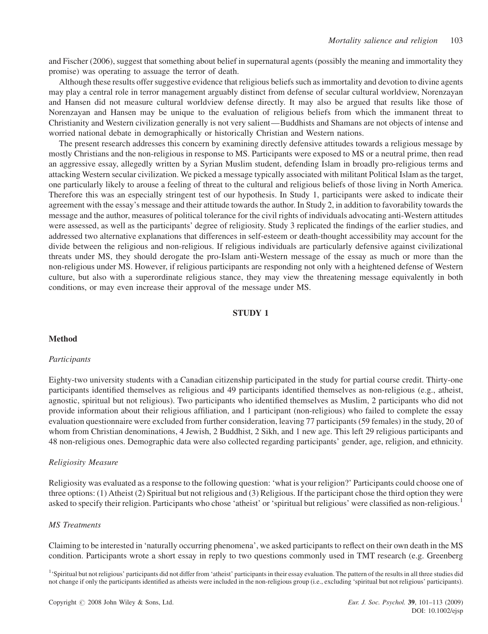and Fischer (2006), suggest that something about belief in supernatural agents (possibly the meaning and immortality they promise) was operating to assuage the terror of death.

Although these results offer suggestive evidence that religious beliefs such as immortality and devotion to divine agents may play a central role in terror management arguably distinct from defense of secular cultural worldview, Norenzayan and Hansen did not measure cultural worldview defense directly. It may also be argued that results like those of Norenzayan and Hansen may be unique to the evaluation of religious beliefs from which the immanent threat to Christianity and Western civilization generally is not very salient—Buddhists and Shamans are not objects of intense and worried national debate in demographically or historically Christian and Western nations.

The present research addresses this concern by examining directly defensive attitudes towards a religious message by mostly Christians and the non-religious in response to MS. Participants were exposed to MS or a neutral prime, then read an aggressive essay, allegedly written by a Syrian Muslim student, defending Islam in broadly pro-religious terms and attacking Western secular civilization. We picked a message typically associated with militant Political Islam as the target, one particularly likely to arouse a feeling of threat to the cultural and religious beliefs of those living in North America. Therefore this was an especially stringent test of our hypothesis. In Study 1, participants were asked to indicate their agreement with the essay's message and their attitude towards the author. In Study 2, in addition to favorability towards the message and the author, measures of political tolerance for the civil rights of individuals advocating anti-Western attitudes were assessed, as well as the participants' degree of religiosity. Study 3 replicated the findings of the earlier studies, and addressed two alternative explanations that differences in self-esteem or death-thought accessibility may account for the divide between the religious and non-religious. If religious individuals are particularly defensive against civilizational threats under MS, they should derogate the pro-Islam anti-Western message of the essay as much or more than the non-religious under MS. However, if religious participants are responding not only with a heightened defense of Western culture, but also with a superordinate religious stance, they may view the threatening message equivalently in both conditions, or may even increase their approval of the message under MS.

#### STUDY 1

# Method

#### Participants

Eighty-two university students with a Canadian citizenship participated in the study for partial course credit. Thirty-one participants identified themselves as religious and 49 participants identified themselves as non-religious (e.g., atheist, agnostic, spiritual but not religious). Two participants who identified themselves as Muslim, 2 participants who did not provide information about their religious affiliation, and 1 participant (non-religious) who failed to complete the essay evaluation questionnaire were excluded from further consideration, leaving 77 participants (59 females) in the study, 20 of whom from Christian denominations, 4 Jewish, 2 Buddhist, 2 Sikh, and 1 new age. This left 29 religious participants and 48 non-religious ones. Demographic data were also collected regarding participants' gender, age, religion, and ethnicity.

# Religiosity Measure

Religiosity was evaluated as a response to the following question: 'what is your religion?' Participants could choose one of three options: (1) Atheist (2) Spiritual but not religious and (3) Religious. If the participant chose the third option they were asked to specify their religion. Participants who chose 'atheist' or 'spiritual but religious' were classified as non-religious.<sup>1</sup>

#### MS Treatments

Claiming to be interested in 'naturally occurring phenomena', we asked participants to reflect on their own death in the MS condition. Participants wrote a short essay in reply to two questions commonly used in TMT research (e.g. Greenberg

<sup>1</sup>'Spiritual but not religious' participants did not differ from 'atheist' participants in their essay evaluation. The pattern of the results in all three studies did not change if only the participants identified as atheists were included in the non-religious group (i.e., excluding 'spiritual but not religious' participants).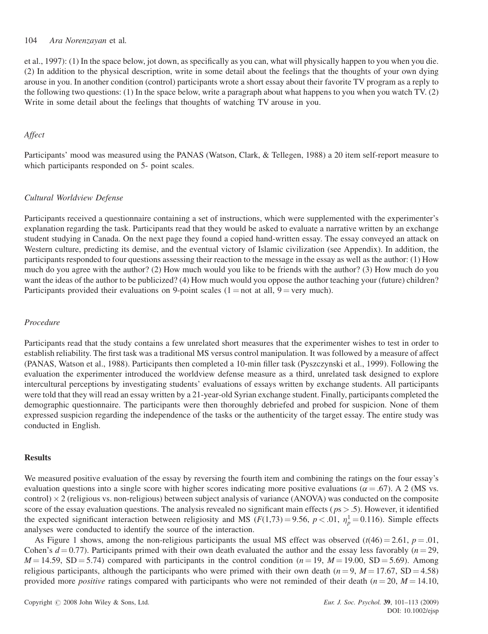et al., 1997): (1) In the space below, jot down, as specifically as you can, what will physically happen to you when you die. (2) In addition to the physical description, write in some detail about the feelings that the thoughts of your own dying arouse in you. In another condition (control) participants wrote a short essay about their favorite TV program as a reply to the following two questions: (1) In the space below, write a paragraph about what happens to you when you watch TV. (2) Write in some detail about the feelings that thoughts of watching TV arouse in you.

# Affect

Participants' mood was measured using the PANAS (Watson, Clark, & Tellegen, 1988) a 20 item self-report measure to which participants responded on 5- point scales.

#### Cultural Worldview Defense

Participants received a questionnaire containing a set of instructions, which were supplemented with the experimenter's explanation regarding the task. Participants read that they would be asked to evaluate a narrative written by an exchange student studying in Canada. On the next page they found a copied hand-written essay. The essay conveyed an attack on Western culture, predicting its demise, and the eventual victory of Islamic civilization (see Appendix). In addition, the participants responded to four questions assessing their reaction to the message in the essay as well as the author: (1) How much do you agree with the author? (2) How much would you like to be friends with the author? (3) How much do you want the ideas of the author to be publicized? (4) How much would you oppose the author teaching your (future) children? Participants provided their evaluations on 9-point scales ( $1 = not$  at all,  $9 = very$  much).

# Procedure

Participants read that the study contains a few unrelated short measures that the experimenter wishes to test in order to establish reliability. The first task was a traditional MS versus control manipulation. It was followed by a measure of affect (PANAS, Watson et al., 1988). Participants then completed a 10-min filler task (Pyszczynski et al., 1999). Following the evaluation the experimenter introduced the worldview defense measure as a third, unrelated task designed to explore intercultural perceptions by investigating students' evaluations of essays written by exchange students. All participants were told that they will read an essay written by a 21-year-old Syrian exchange student. Finally, participants completed the demographic questionnaire. The participants were then thoroughly debriefed and probed for suspicion. None of them expressed suspicion regarding the independence of the tasks or the authenticity of the target essay. The entire study was conducted in English.

#### **Results**

We measured positive evaluation of the essay by reversing the fourth item and combining the ratings on the four essay's evaluation questions into a single score with higher scores indicating more positive evaluations ( $\alpha$  = .67). A 2 (MS vs.  $control \times 2$  (religious vs. non-religious) between subject analysis of variance (ANOVA) was conducted on the composite score of the essay evaluation questions. The analysis revealed no significant main effects ( $ps > .5$ ). However, it identified the expected significant interaction between religiosity and MS ( $F(1,73) = 9.56$ ,  $p < .01$ ,  $\eta_p^1 = 0.116$ ). Simple effects analyses were conducted to identify the source of the interaction.

As Figure 1 shows, among the non-religious participants the usual MS effect was observed (t(46) = 2.61, p = .01, Cohen's  $d = 0.77$ ). Participants primed with their own death evaluated the author and the essay less favorably ( $n = 29$ ,  $M = 14.59$ , SD = 5.74) compared with participants in the control condition ( $n = 19$ ,  $M = 19.00$ , SD = 5.69). Among religious participants, although the participants who were primed with their own death ( $n = 9$ ,  $M = 17.67$ , SD = 4.58) provided more *positive* ratings compared with participants who were not reminded of their death ( $n = 20$ ,  $M = 14.10$ ,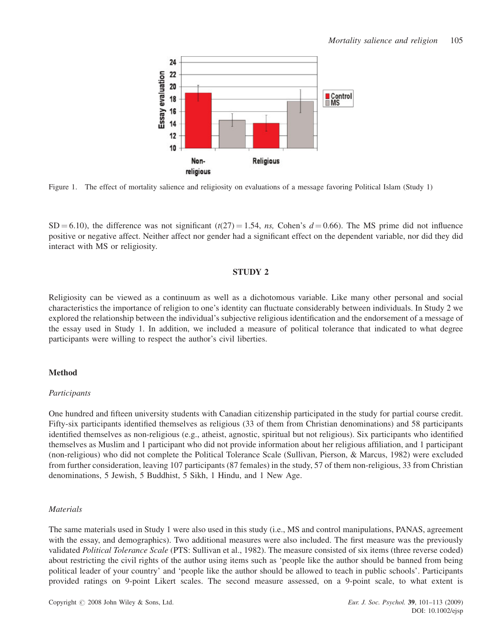

Figure 1. The effect of mortality salience and religiosity on evaluations of a message favoring Political Islam (Study 1)

 $SD = 6.10$ ), the difference was not significant (t(27) = 1.54, ns, Cohen's  $d = 0.66$ ). The MS prime did not influence positive or negative affect. Neither affect nor gender had a significant effect on the dependent variable, nor did they did interact with MS or religiosity.

#### STUDY 2

Religiosity can be viewed as a continuum as well as a dichotomous variable. Like many other personal and social characteristics the importance of religion to one's identity can fluctuate considerably between individuals. In Study 2 we explored the relationship between the individual's subjective religious identification and the endorsement of a message of the essay used in Study 1. In addition, we included a measure of political tolerance that indicated to what degree participants were willing to respect the author's civil liberties.

# Method

#### Participants

One hundred and fifteen university students with Canadian citizenship participated in the study for partial course credit. Fifty-six participants identified themselves as religious (33 of them from Christian denominations) and 58 participants identified themselves as non-religious (e.g., atheist, agnostic, spiritual but not religious). Six participants who identified themselves as Muslim and 1 participant who did not provide information about her religious affiliation, and 1 participant (non-religious) who did not complete the Political Tolerance Scale (Sullivan, Pierson, & Marcus, 1982) were excluded from further consideration, leaving 107 participants (87 females) in the study, 57 of them non-religious, 33 from Christian denominations, 5 Jewish, 5 Buddhist, 5 Sikh, 1 Hindu, and 1 New Age.

#### Materials

The same materials used in Study 1 were also used in this study (i.e., MS and control manipulations, PANAS, agreement with the essay, and demographics). Two additional measures were also included. The first measure was the previously validated Political Tolerance Scale (PTS: Sullivan et al., 1982). The measure consisted of six items (three reverse coded) about restricting the civil rights of the author using items such as 'people like the author should be banned from being political leader of your country' and 'people like the author should be allowed to teach in public schools'. Participants provided ratings on 9-point Likert scales. The second measure assessed, on a 9-point scale, to what extent is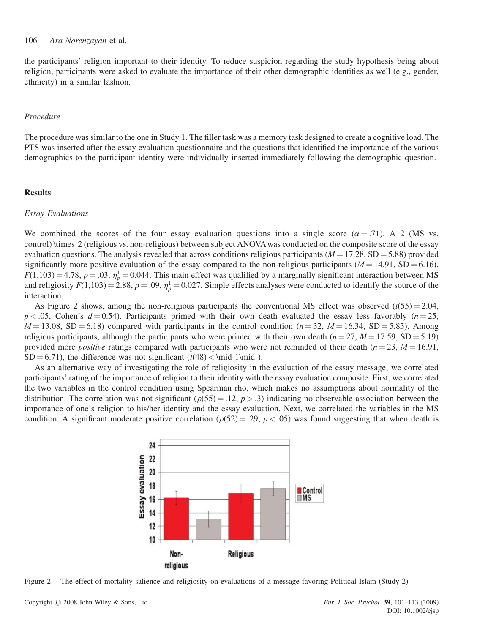the participants' religion important to their identity. To reduce suspicion regarding the study hypothesis being about religion, participants were asked to evaluate the importance of their other demographic identities as well (e.g., gender, ethnicity) in a similar fashion.

#### Procedure

The procedure was similar to the one in Study 1. The filler task was a memory task designed to create a cognitive load. The PTS was inserted after the essay evaluation questionnaire and the questions that identified the importance of the various demographics to the participant identity were individually inserted immediately following the demographic question.

#### Results

#### Essay Evaluations

We combined the scores of the four essay evaluation questions into a single score ( $\alpha = .71$ ). A 2 (MS vs. control) \times 2 (religious vs. non-religious) between subject ANOVA was conducted on the composite score of the essay evaluation questions. The analysis revealed that across conditions religious participants  $(M = 17.28, SD = 5.88)$  provided significantly more positive evaluation of the essay compared to the non-religious participants ( $M = 14.91$ , SD = 6.16),  $F(1,103) = 4.78$ ,  $p = .03$ ,  $\eta_p^1 = 0.044$ . This main effect was qualified by a marginally significant interaction between MS and religiosity  $F(1,103) = 2.88$ ,  $p = .09$ ,  $\eta_p^1 = 0.027$ . Simple effects analyses were conducted to identify the source of the interaction.

As Figure 2 shows, among the non-religious participants the conventional MS effect was observed  $(t(55) = 2.04$ ,  $p < .05$ , Cohen's  $d = 0.54$ ). Participants primed with their own death evaluated the essay less favorably ( $n = 25$ ,  $M = 13.08$ , SD = 6.18) compared with participants in the control condition (n = 32, M = 16.34, SD = 5.85). Among religious participants, although the participants who were primed with their own death ( $n = 27$ ,  $M = 17.59$ , SD = 5.19) provided more *positive* ratings compared with participants who were not reminded of their death ( $n = 23$ ,  $M = 16.91$ ,  $SD = 6.71$ , the difference was not significant (t(48) < \mid 1\mid ).

As an alternative way of investigating the role of religiosity in the evaluation of the essay message, we correlated participants' rating of the importance of religion to their identity with the essay evaluation composite. First, we correlated the two variables in the control condition using Spearman rho, which makes no assumptions about normality of the distribution. The correlation was not significant  $(\rho(55) = .12, p > .3)$  indicating no observable association between the importance of one's religion to his/her identity and the essay evaluation. Next, we correlated the variables in the MS condition. A significant moderate positive correlation ( $\rho(52) = .29$ ,  $p < .05$ ) was found suggesting that when death is



Figure 2. The effect of mortality salience and religiosity on evaluations of a message favoring Political Islam (Study 2)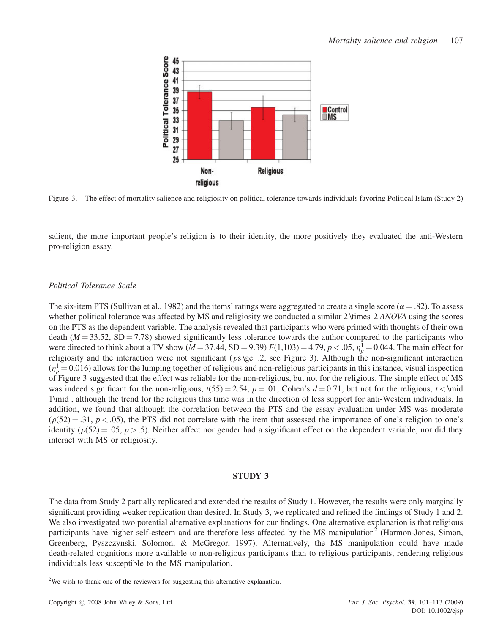

Figure 3. The effect of mortality salience and religiosity on political tolerance towards individuals favoring Political Islam (Study 2)

salient, the more important people's religion is to their identity, the more positively they evaluated the anti-Western pro-religion essay.

#### Political Tolerance Scale

The six-item PTS (Sullivan et al., 1982) and the items' ratings were aggregated to create a single score ( $\alpha = .82$ ). To assess whether political tolerance was affected by MS and religiosity we conducted a similar  $2 \text{ MOWA}$  using the scores on the PTS as the dependent variable. The analysis revealed that participants who were primed with thoughts of their own death ( $M = 33.52$ , SD = 7.78) showed significantly less tolerance towards the author compared to the participants who were directed to think about a TV show ( $M = 37.44$ , SD = 9.39)  $F(1,103) = 4.79$ ,  $p < .05$ ,  $\eta_p^1 = 0.044$ . The main effect for religiosity and the interaction were not significant ( $p_s \ge 0$ ., see Figure 3). Although the non-significant interaction  $(\eta_p^1 = 0.016)$  allows for the lumping together of religious and non-religious participants in this instance, visual inspection of Figure 3 suggested that the effect was reliable for the non-religious, but not for the religious. The simple effect of MS was indeed significant for the non-religious,  $t(55) = 2.54$ ,  $p = .01$ , Cohen's  $d = 0.71$ , but not for the religious,  $t < \text{mid}$ 1\mid , although the trend for the religious this time was in the direction of less support for anti-Western individuals. In addition, we found that although the correlation between the PTS and the essay evaluation under MS was moderate  $(\rho(52) = .31, p < .05)$ , the PTS did not correlate with the item that assessed the importance of one's religion to one's identity ( $\rho(52) = .05$ ,  $p > .5$ ). Neither affect nor gender had a significant effect on the dependent variable, nor did they interact with MS or religiosity.

#### STUDY 3

The data from Study 2 partially replicated and extended the results of Study 1. However, the results were only marginally significant providing weaker replication than desired. In Study 3, we replicated and refined the findings of Study 1 and 2. We also investigated two potential alternative explanations for our findings. One alternative explanation is that religious participants have higher self-esteem and are therefore less affected by the MS manipulation<sup>2</sup> (Harmon-Jones, Simon, Greenberg, Pyszczynski, Solomon, & McGregor, 1997). Alternatively, the MS manipulation could have made death-related cognitions more available to non-religious participants than to religious participants, rendering religious individuals less susceptible to the MS manipulation.

 $2$ We wish to thank one of the reviewers for suggesting this alternative explanation.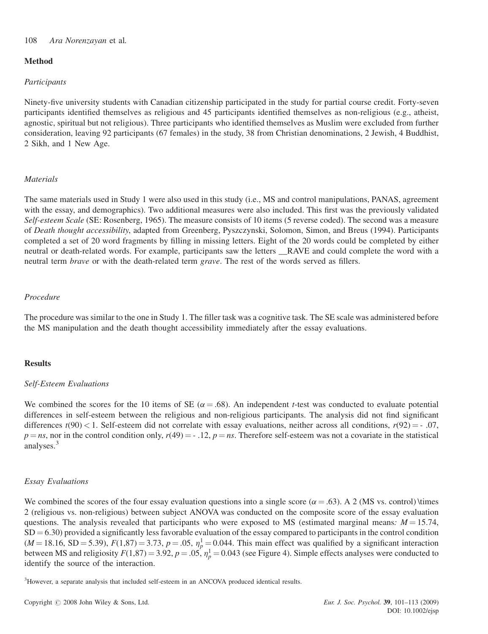# Method

# **Participants**

Ninety-five university students with Canadian citizenship participated in the study for partial course credit. Forty-seven participants identified themselves as religious and 45 participants identified themselves as non-religious (e.g., atheist, agnostic, spiritual but not religious). Three participants who identified themselves as Muslim were excluded from further consideration, leaving 92 participants (67 females) in the study, 38 from Christian denominations, 2 Jewish, 4 Buddhist, 2 Sikh, and 1 New Age.

# **Materials**

The same materials used in Study 1 were also used in this study (i.e., MS and control manipulations, PANAS, agreement with the essay, and demographics). Two additional measures were also included. This first was the previously validated Self-esteem Scale (SE: Rosenberg, 1965). The measure consists of 10 items (5 reverse coded). The second was a measure of Death thought accessibility, adapted from Greenberg, Pyszczynski, Solomon, Simon, and Breus (1994). Participants completed a set of 20 word fragments by filling in missing letters. Eight of the 20 words could be completed by either neutral or death-related words. For example, participants saw the letters \_\_RAVE and could complete the word with a neutral term *brave* or with the death-related term *grave*. The rest of the words served as fillers.

# Procedure

The procedure was similar to the one in Study 1. The filler task was a cognitive task. The SE scale was administered before the MS manipulation and the death thought accessibility immediately after the essay evaluations.

# Results

# Self-Esteem Evaluations

We combined the scores for the 10 items of SE ( $\alpha = .68$ ). An independent *t*-test was conducted to evaluate potential differences in self-esteem between the religious and non-religious participants. The analysis did not find significant differences  $t(90) < 1$ . Self-esteem did not correlate with essay evaluations, neither across all conditions,  $r(92) = -0.07$ ,  $p = ns$ , nor in the control condition only,  $r(49) = -12$ ,  $p = ns$ . Therefore self-esteem was not a covariate in the statistical analyses.<sup>3</sup>

# Essay Evaluations

We combined the scores of the four essay evaluation questions into a single score ( $\alpha = .63$ ). A 2 (MS vs. control) \times 2 (religious vs. non-religious) between subject ANOVA was conducted on the composite score of the essay evaluation questions. The analysis revealed that participants who were exposed to MS (estimated marginal means:  $M = 15.74$ ,  $SD = 6.30$ ) provided a significantly less favorable evaluation of the essay compared to participants in the control condition  $(M = 18.16, SD = 5.39), F(1,87) = 3.73, p = .05, \eta_p^1 = 0.044$ . This main effect was qualified by a significant interaction between MS and religiosity  $F(1,87) = 3.92$ ,  $p = .05$ ,  $\eta_p^1 = 0.043$  (see Figure 4). Simple effects analyses were conducted to identify the source of the interaction.

<sup>3</sup>However, a separate analysis that included self-esteem in an ANCOVA produced identical results.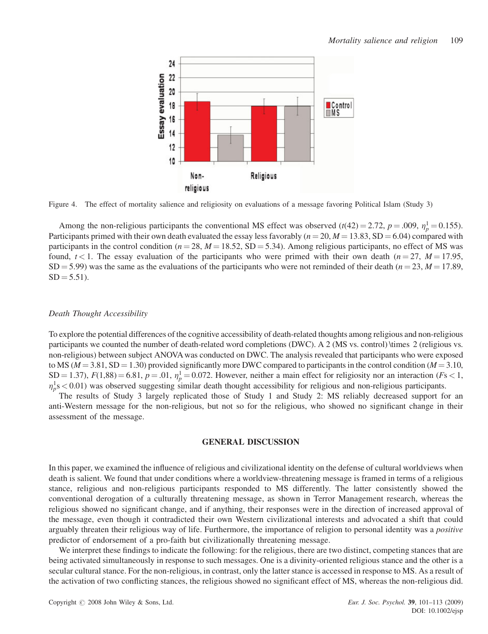

Figure 4. The effect of mortality salience and religiosity on evaluations of a message favoring Political Islam (Study 3)

Among the non-religious participants the conventional MS effect was observed  $(t(42) = 2.72, p = .009, \eta_p^1 = 0.155)$ . Participants primed with their own death evaluated the essay less favorably  $(n = 20, M = 13.83, SD = 6.04)$  compared with participants in the control condition ( $n = 28$ ,  $M = 18.52$ , SD = 5.34). Among religious participants, no effect of MS was found,  $t < 1$ . The essay evaluation of the participants who were primed with their own death  $(n = 27, M = 17.95,$  $SD = 5.99$ ) was the same as the evaluations of the participants who were not reminded of their death ( $n = 23$ ,  $M = 17.89$ ,  $SD = 5.51$ ).

#### Death Thought Accessibility

To explore the potential differences of the cognitive accessibility of death-related thoughts among religious and non-religious participants we counted the number of death-related word completions (DWC). A 2 (MS vs. control) \times 2 (religious vs. non-religious) between subject ANOVA was conducted on DWC. The analysis revealed that participants who were exposed to MS ( $M = 3.81$ , SD = 1.30) provided significantly more DWC compared to participants in the control condition ( $M = 3.10$ ,  $SD = 1.37$ ),  $F(1,88) = 6.81$ ,  $p = .01$ ,  $\eta_p^1 = 0.072$ . However, neither a main effect for religiosity nor an interaction ( $Fs < 1$ ,  $n_p^1$ s < 0.01) was observed suggesting similar death thought accessibility for religious and non-religious participants.

The results of Study 3 largely replicated those of Study 1 and Study 2: MS reliably decreased support for an anti-Western message for the non-religious, but not so for the religious, who showed no significant change in their assessment of the message.

#### GENERAL DISCUSSION

In this paper, we examined the influence of religious and civilizational identity on the defense of cultural worldviews when death is salient. We found that under conditions where a worldview-threatening message is framed in terms of a religious stance, religious and non-religious participants responded to MS differently. The latter consistently showed the conventional derogation of a culturally threatening message, as shown in Terror Management research, whereas the religious showed no significant change, and if anything, their responses were in the direction of increased approval of the message, even though it contradicted their own Western civilizational interests and advocated a shift that could arguably threaten their religious way of life. Furthermore, the importance of religion to personal identity was a *positive* predictor of endorsement of a pro-faith but civilizationally threatening message.

We interpret these findings to indicate the following: for the religious, there are two distinct, competing stances that are being activated simultaneously in response to such messages. One is a divinity-oriented religious stance and the other is a secular cultural stance. For the non-religious, in contrast, only the latter stance is accessed in response to MS. As a result of the activation of two conflicting stances, the religious showed no significant effect of MS, whereas the non-religious did.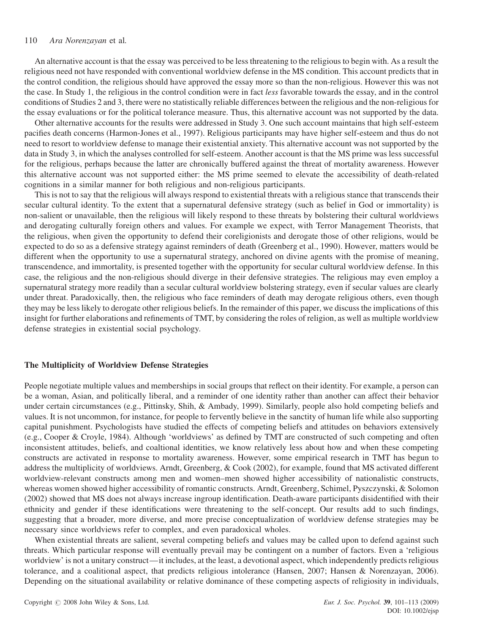An alternative account is that the essay was perceived to be less threatening to the religious to begin with. As a result the religious need not have responded with conventional worldview defense in the MS condition. This account predicts that in the control condition, the religious should have approved the essay more so than the non-religious. However this was not the case. In Study 1, the religious in the control condition were in fact less favorable towards the essay, and in the control conditions of Studies 2 and 3, there were no statistically reliable differences between the religious and the non-religious for the essay evaluations or for the political tolerance measure. Thus, this alternative account was not supported by the data.

Other alternative accounts for the results were addressed in Study 3. One such account maintains that high self-esteem pacifies death concerns (Harmon-Jones et al., 1997). Religious participants may have higher self-esteem and thus do not need to resort to worldview defense to manage their existential anxiety. This alternative account was not supported by the data in Study 3, in which the analyses controlled for self-esteem. Another account is that the MS prime was less successful for the religious, perhaps because the latter are chronically buffered against the threat of mortality awareness. However this alternative account was not supported either: the MS prime seemed to elevate the accessibility of death-related cognitions in a similar manner for both religious and non-religious participants.

This is not to say that the religious will always respond to existential threats with a religious stance that transcends their secular cultural identity. To the extent that a supernatural defensive strategy (such as belief in God or immortality) is non-salient or unavailable, then the religious will likely respond to these threats by bolstering their cultural worldviews and derogating culturally foreign others and values. For example we expect, with Terror Management Theorists, that the religious, when given the opportunity to defend their coreligionists and derogate those of other religions, would be expected to do so as a defensive strategy against reminders of death (Greenberg et al., 1990). However, matters would be different when the opportunity to use a supernatural strategy, anchored on divine agents with the promise of meaning, transcendence, and immortality, is presented together with the opportunity for secular cultural worldview defense. In this case, the religious and the non-religious should diverge in their defensive strategies. The religious may even employ a supernatural strategy more readily than a secular cultural worldview bolstering strategy, even if secular values are clearly under threat. Paradoxically, then, the religious who face reminders of death may derogate religious others, even though they may be less likely to derogate other religious beliefs. In the remainder of this paper, we discuss the implications of this insight for further elaborations and refinements of TMT, by considering the roles of religion, as well as multiple worldview defense strategies in existential social psychology.

# The Multiplicity of Worldview Defense Strategies

People negotiate multiple values and memberships in social groups that reflect on their identity. For example, a person can be a woman, Asian, and politically liberal, and a reminder of one identity rather than another can affect their behavior under certain circumstances (e.g., Pittinsky, Shih, & Ambady, 1999). Similarly, people also hold competing beliefs and values. It is not uncommon, for instance, for people to fervently believe in the sanctity of human life while also supporting capital punishment. Psychologists have studied the effects of competing beliefs and attitudes on behaviors extensively (e.g., Cooper & Croyle, 1984). Although 'worldviews' as defined by TMT are constructed of such competing and often inconsistent attitudes, beliefs, and coaltional identities, we know relatively less about how and when these competing constructs are activated in response to mortality awareness. However, some empirical research in TMT has begun to address the multiplicity of worldviews. Arndt, Greenberg, & Cook (2002), for example, found that MS activated different worldview-relevant constructs among men and women–men showed higher accessibility of nationalistic constructs, whereas women showed higher accessibility of romantic constructs. Arndt, Greenberg, Schimel, Pyszczynski, & Solomon (2002) showed that MS does not always increase ingroup identification. Death-aware participants disidentified with their ethnicity and gender if these identifications were threatening to the self-concept. Our results add to such findings, suggesting that a broader, more diverse, and more precise conceptualization of worldview defense strategies may be necessary since worldviews refer to complex, and even paradoxical wholes.

When existential threats are salient, several competing beliefs and values may be called upon to defend against such threats. Which particular response will eventually prevail may be contingent on a number of factors. Even a 'religious worldview' is not a unitary construct—it includes, at the least, a devotional aspect, which independently predicts religious tolerance, and a coalitional aspect, that predicts religious intolerance (Hansen, 2007; Hansen & Norenzayan, 2006). Depending on the situational availability or relative dominance of these competing aspects of religiosity in individuals,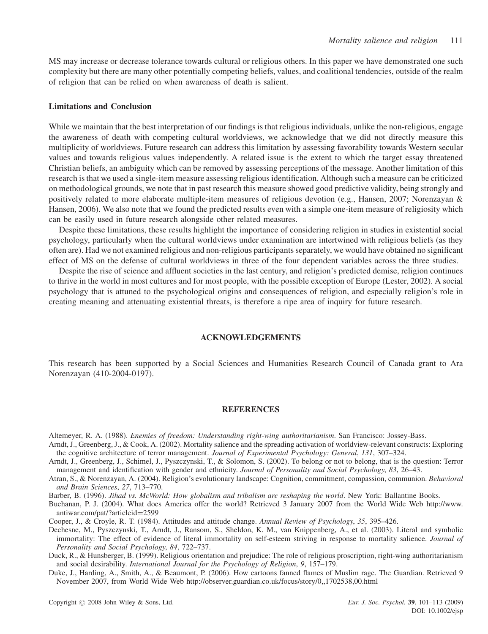MS may increase or decrease tolerance towards cultural or religious others. In this paper we have demonstrated one such complexity but there are many other potentially competing beliefs, values, and coalitional tendencies, outside of the realm of religion that can be relied on when awareness of death is salient.

### Limitations and Conclusion

While we maintain that the best interpretation of our findings is that religious individuals, unlike the non-religious, engage the awareness of death with competing cultural worldviews, we acknowledge that we did not directly measure this multiplicity of worldviews. Future research can address this limitation by assessing favorability towards Western secular values and towards religious values independently. A related issue is the extent to which the target essay threatened Christian beliefs, an ambiguity which can be removed by assessing perceptions of the message. Another limitation of this research is that we used a single-item measure assessing religious identification. Although such a measure can be criticized on methodological grounds, we note that in past research this measure showed good predictive validity, being strongly and positively related to more elaborate multiple-item measures of religious devotion (e.g., Hansen, 2007; Norenzayan & Hansen, 2006). We also note that we found the predicted results even with a simple one-item measure of religiosity which can be easily used in future research alongside other related measures.

Despite these limitations, these results highlight the importance of considering religion in studies in existential social psychology, particularly when the cultural worldviews under examination are intertwined with religious beliefs (as they often are). Had we not examined religious and non-religious participants separately, we would have obtained no significant effect of MS on the defense of cultural worldviews in three of the four dependent variables across the three studies.

Despite the rise of science and affluent societies in the last century, and religion's predicted demise, religion continues to thrive in the world in most cultures and for most people, with the possible exception of Europe (Lester, 2002). A social psychology that is attuned to the psychological origins and consequences of religion, and especially religion's role in creating meaning and attenuating existential threats, is therefore a ripe area of inquiry for future research.

#### ACKNOWLEDGEMENTS

This research has been supported by a Social Sciences and Humanities Research Council of Canada grant to Ara Norenzayan (410-2004-0197).

#### **REFERENCES**

Altemeyer, R. A. (1988). Enemies of freedom: Understanding right-wing authoritarianism. San Francisco: Jossey-Bass.

Arndt, J., Greenberg, J., & Cook, A. (2002). Mortality salience and the spreading activation of worldview-relevant constructs: Exploring the cognitive architecture of terror management. Journal of Experimental Psychology: General, 131, 307-324.

Arndt, J., Greenberg, J., Schimel, J., Pyszczynski, T., & Solomon, S. (2002). To belong or not to belong, that is the question: Terror management and identification with gender and ethnicity. Journal of Personality and Social Psychology, 83, 26–43.

Atran, S., & Norenzayan, A. (2004). Religion's evolutionary landscape: Cognition, commitment, compassion, communion. Behavioral and Brain Sciences, 27, 713–770.

Barber, B. (1996). Jihad vs. McWorld: How globalism and tribalism are reshaping the world. New York: Ballantine Books.

Buchanan, P. J. (2004). What does America offer the world? Retrieved 3 January 2007 from the World Wide Web http://www. antiwar.com/pat/?articleid=2599

Cooper, J., & Croyle, R. T. (1984). Attitudes and attitude change. Annual Review of Psychology, 35, 395–426.

Dechesne, M., Pyszczynski, T., Arndt, J., Ransom, S., Sheldon, K. M., van Knippenberg, A., et al. (2003). Literal and symbolic immortality: The effect of evidence of literal immortality on self-esteem striving in response to mortality salience. Journal of Personality and Social Psychology, 84, 722–737.

Duck, R., & Hunsberger, B. (1999). Religious orientation and prejudice: The role of religious proscription, right-wing authoritarianism and social desirability. International Journal for the Psychology of Religion, 9, 157–179.

Duke, J., Harding, A., Smith, A., & Beaumont, P. (2006). How cartoons fanned flames of Muslim rage. The Guardian. Retrieved 9 November 2007, from World Wide Web http://observer.guardian.co.uk/focus/story/0,,1702538,00.html

Copyright  $\odot$  2008 John Wiley & Sons, Ltd.  $Eur. J. Soc. \text{Psvchol. } 39, 101-113$  (2009)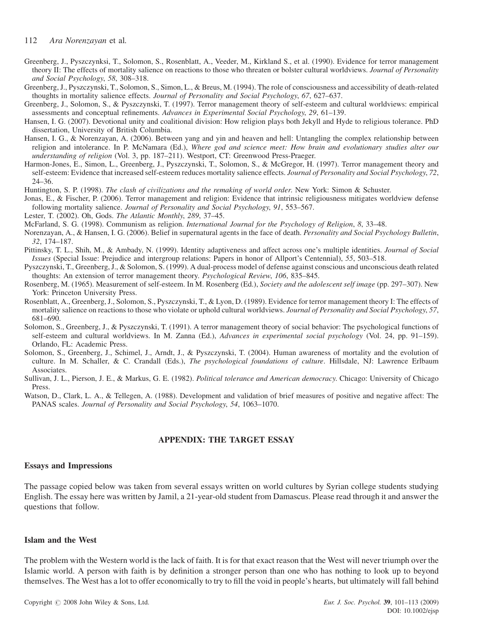- Greenberg, J., Pyszczynksi, T., Solomon, S., Rosenblatt, A., Veeder, M., Kirkland S., et al. (1990). Evidence for terror management theory II: The effects of mortality salience on reactions to those who threaten or bolster cultural worldviews. Journal of Personality and Social Psychology, 58, 308–318.
- Greenberg, J., Pyszczynski, T., Solomon, S., Simon, L., & Breus, M. (1994). The role of consciousness and accessibility of death-related thoughts in mortality salience effects. Journal of Personality and Social Psychology, 67, 627-637.
- Greenberg, J., Solomon, S., & Pyszczynski, T. (1997). Terror management theory of self-esteem and cultural worldviews: empirical assessments and conceptual refinements. Advances in Experimental Social Psychology, 29, 61–139.
- Hansen, I. G. (2007). Devotional unity and coalitional division: How religion plays both Jekyll and Hyde to religious tolerance. PhD dissertation, University of British Columbia.
- Hansen, I. G., & Norenzayan, A. (2006). Between yang and yin and heaven and hell: Untangling the complex relationship between religion and intolerance. In P. McNamara (Ed.), Where god and science meet: How brain and evolutionary studies alter our understanding of religion (Vol. 3, pp. 187–211). Westport, CT: Greenwood Press-Praeger.
- Harmon-Jones, E., Simon, L., Greenberg, J., Pyszczynski, T., Solomon, S., & McGregor, H. (1997). Terror management theory and self-esteem: Evidence that increased self-esteem reduces mortality salience effects. Journal of Personality and Social Psychology, 72, 24–36.
- Huntington, S. P. (1998). The clash of civilizations and the remaking of world order. New York: Simon & Schuster.
- Jonas, E., & Fischer, P. (2006). Terror management and religion: Evidence that intrinsic religiousness mitigates worldview defense following mortality salience. Journal of Personality and Social Psychology, 91, 553–567.
- Lester, T. (2002). Oh, Gods. The Atlantic Monthly, 289, 37–45.
- McFarland, S. G. (1998). Communism as religion. *International Journal for the Psychology of Religion*, 8, 33–48.
- Norenzayan, A., & Hansen, I. G. (2006). Belief in supernatural agents in the face of death. *Personality and Social Psychology Bulletin*, 32, 174–187.
- Pittinsky, T. L., Shih, M., & Ambady, N. (1999). Identity adaptiveness and affect across one's multiple identities. Journal of Social Issues (Special Issue: Prejudice and intergroup relations: Papers in honor of Allport's Centennial), 55, 503–518.
- Pyszczynski, T., Greenberg, J., & Solomon, S. (1999). A dual-process model of defense against conscious and unconscious death related thoughts: An extension of terror management theory. Psychological Review, 106, 835-845.
- Rosenberg, M. (1965). Measurement of self-esteem. In M. Rosenberg (Ed.), Society and the adolescent self image (pp. 297–307). New York: Princeton University Press.
- Rosenblatt, A., Greenberg, J., Solomon, S., Pyszczynski, T., & Lyon, D. (1989). Evidence for terror management theory I: The effects of mortality salience on reactions to those who violate or uphold cultural worldviews. Journal of Personality and Social Psychology, 57, 681–690.
- Solomon, S., Greenberg, J., & Pyszczynski, T. (1991). A terror management theory of social behavior: The psychological functions of self-esteem and cultural worldviews. In M. Zanna (Ed.), *Advances in experimental social psychology* (Vol. 24, pp. 91–159). Orlando, FL: Academic Press.
- Solomon, S., Greenberg, J., Schimel, J., Arndt, J., & Pyszczynski, T. (2004). Human awareness of mortality and the evolution of culture. In M. Schaller, & C. Crandall (Eds.), The psychological foundations of culture. Hillsdale, NJ: Lawrence Erlbaum Associates.
- Sullivan, J. L., Pierson, J. E., & Markus, G. E. (1982). Political tolerance and American democracy. Chicago: University of Chicago Press.
- Watson, D., Clark, L. A., & Tellegen, A. (1988). Development and validation of brief measures of positive and negative affect: The PANAS scales. Journal of Personality and Social Psychology, 54, 1063–1070.

# APPENDIX: THE TARGET ESSAY

#### Essays and Impressions

The passage copied below was taken from several essays written on world cultures by Syrian college students studying English. The essay here was written by Jamil, a 21-year-old student from Damascus. Please read through it and answer the questions that follow.

#### Islam and the West

The problem with the Western world is the lack of faith. It is for that exact reason that the West will never triumph over the Islamic world. A person with faith is by definition a stronger person than one who has nothing to look up to beyond themselves. The West has a lot to offer economically to try to fill the void in people's hearts, but ultimately will fall behind